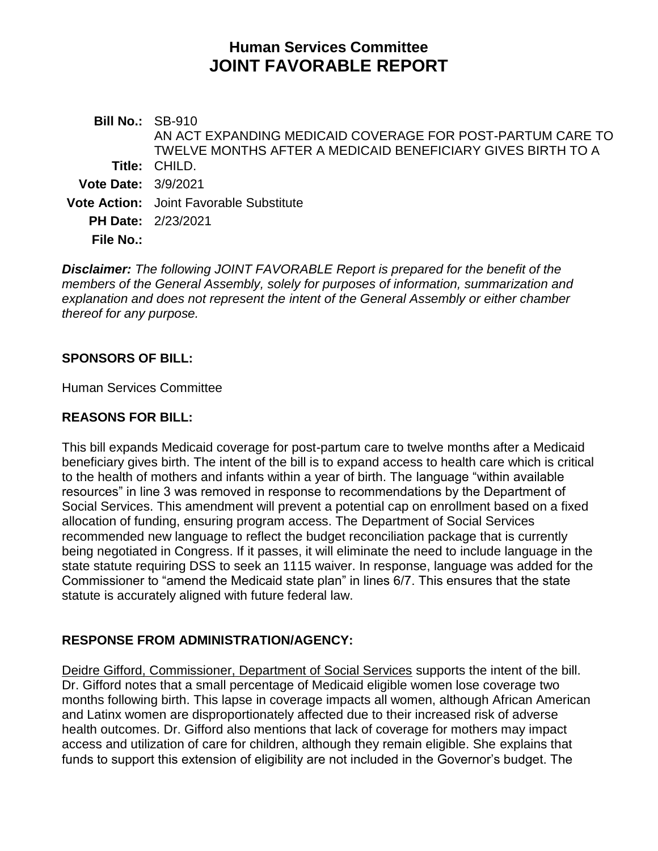# **Human Services Committee JOINT FAVORABLE REPORT**

**Bill No.:** SB-910 **Title:** CHILD. AN ACT EXPANDING MEDICAID COVERAGE FOR POST-PARTUM CARE TO TWELVE MONTHS AFTER A MEDICAID BENEFICIARY GIVES BIRTH TO A **Vote Date:** 3/9/2021 **Vote Action:** Joint Favorable Substitute **PH Date:** 2/23/2021 **File No.:**

*Disclaimer: The following JOINT FAVORABLE Report is prepared for the benefit of the members of the General Assembly, solely for purposes of information, summarization and explanation and does not represent the intent of the General Assembly or either chamber thereof for any purpose.*

### **SPONSORS OF BILL:**

Human Services Committee

#### **REASONS FOR BILL:**

This bill expands Medicaid coverage for post-partum care to twelve months after a Medicaid beneficiary gives birth. The intent of the bill is to expand access to health care which is critical to the health of mothers and infants within a year of birth. The language "within available resources" in line 3 was removed in response to recommendations by the Department of Social Services. This amendment will prevent a potential cap on enrollment based on a fixed allocation of funding, ensuring program access. The Department of Social Services recommended new language to reflect the budget reconciliation package that is currently being negotiated in Congress. If it passes, it will eliminate the need to include language in the state statute requiring DSS to seek an 1115 waiver. In response, language was added for the Commissioner to "amend the Medicaid state plan" in lines 6/7. This ensures that the state statute is accurately aligned with future federal law.

### **RESPONSE FROM ADMINISTRATION/AGENCY:**

Deidre Gifford, Commissioner, Department of Social Services supports the intent of the bill. Dr. Gifford notes that a small percentage of Medicaid eligible women lose coverage two months following birth. This lapse in coverage impacts all women, although African American and Latinx women are disproportionately affected due to their increased risk of adverse health outcomes. Dr. Gifford also mentions that lack of coverage for mothers may impact access and utilization of care for children, although they remain eligible. She explains that funds to support this extension of eligibility are not included in the Governor's budget. The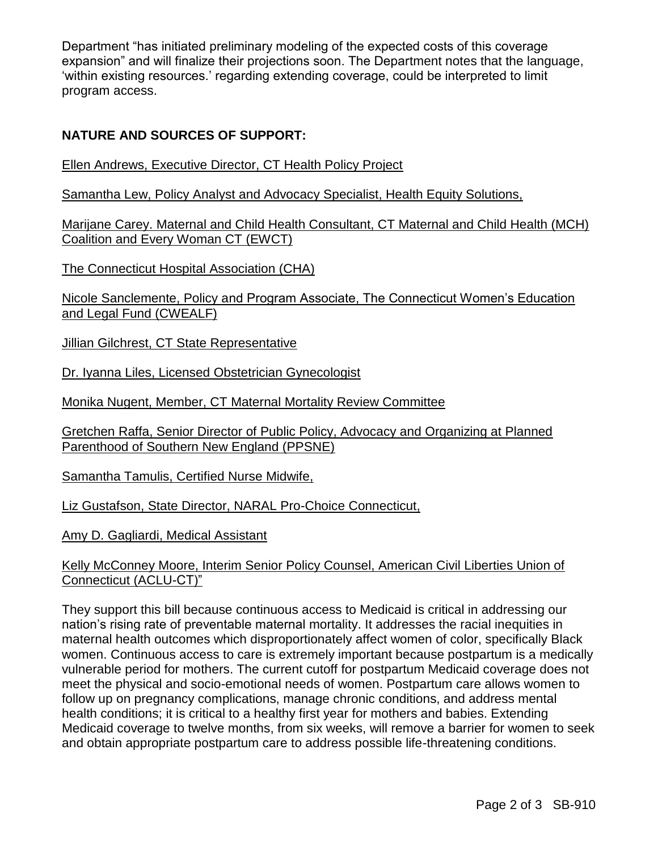Department "has initiated preliminary modeling of the expected costs of this coverage expansion" and will finalize their projections soon. The Department notes that the language, 'within existing resources.' regarding extending coverage, could be interpreted to limit program access.

## **NATURE AND SOURCES OF SUPPORT:**

Ellen Andrews, Executive Director, CT Health Policy Project

Samantha Lew, Policy Analyst and Advocacy Specialist, Health Equity Solutions,

Marijane Carey. Maternal and Child Health Consultant, CT Maternal and Child Health (MCH) Coalition and Every Woman CT (EWCT)

The Connecticut Hospital Association (CHA)

Nicole Sanclemente, Policy and Program Associate, The Connecticut Women's Education and Legal Fund (CWEALF)

Jillian Gilchrest, CT State Representative

Dr. Iyanna Liles, Licensed Obstetrician Gynecologist

Monika Nugent, Member, CT Maternal Mortality Review Committee

Gretchen Raffa, Senior Director of Public Policy, Advocacy and Organizing at Planned Parenthood of Southern New England (PPSNE)

Samantha Tamulis, Certified Nurse Midwife,

Liz Gustafson, State Director, NARAL Pro-Choice Connecticut,

Amy D. Gagliardi, Medical Assistant

#### Kelly McConney Moore, Interim Senior Policy Counsel, American Civil Liberties Union of Connecticut (ACLU-CT)"

They support this bill because continuous access to Medicaid is critical in addressing our nation's rising rate of preventable maternal mortality. It addresses the racial inequities in maternal health outcomes which disproportionately affect women of color, specifically Black women. Continuous access to care is extremely important because postpartum is a medically vulnerable period for mothers. The current cutoff for postpartum Medicaid coverage does not meet the physical and socio-emotional needs of women. Postpartum care allows women to follow up on pregnancy complications, manage chronic conditions, and address mental health conditions; it is critical to a healthy first year for mothers and babies. Extending Medicaid coverage to twelve months, from six weeks, will remove a barrier for women to seek and obtain appropriate postpartum care to address possible life-threatening conditions.